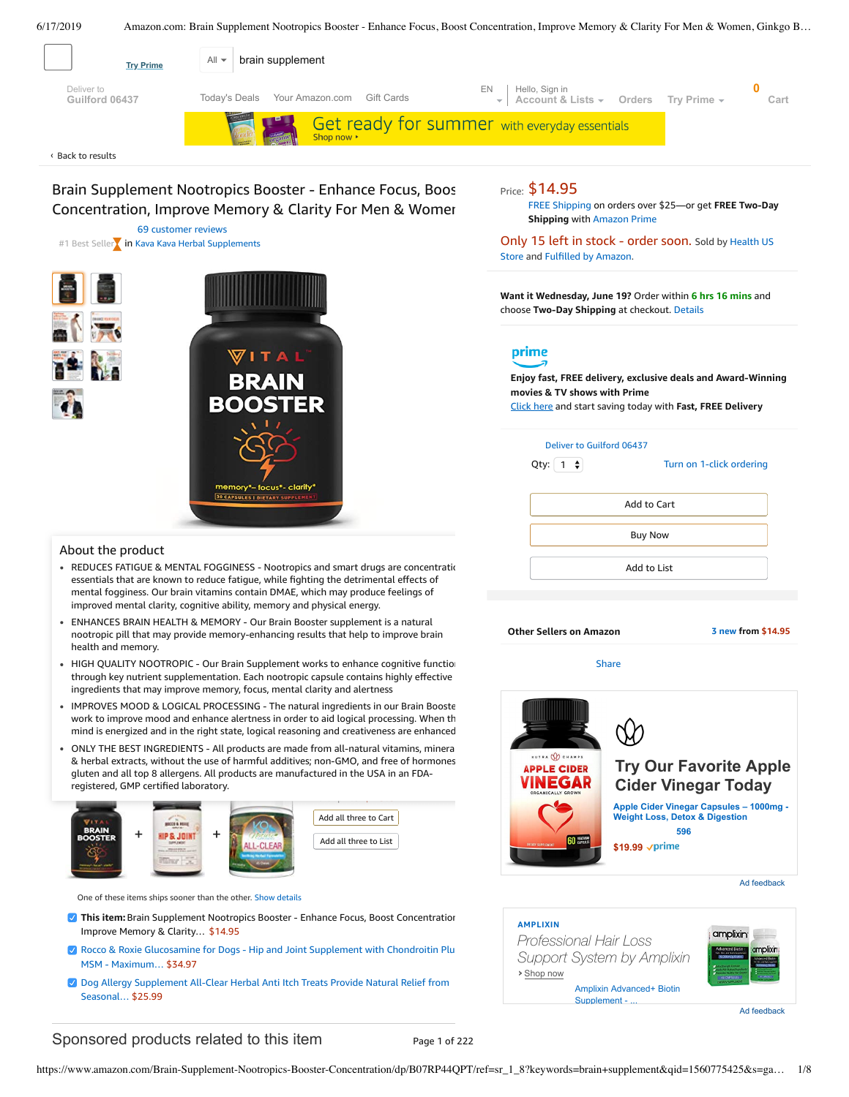<span id="page-0-0"></span>

69 [customer](#page-3-0) reviews #1 Best Seller in Kava Kava Herbal [Supplements](https://www.amazon.com/gp/bestsellers/hpc/3766101/ref=zg_b_bs_3766101_1)



#### About the product

- REDUCES FATIGUE & MENTAL FOGGINESS Nootropics and smart drugs are concentration essentials that are known to reduce fatigue, while fighting the detrimental effects of mental fogginess. Our brain vitamins contain DMAE, which may produce feelings of improved mental clarity, cognitive ability, memory and physical energy.
- $\bullet$ ENHANCES BRAIN HEALTH & MEMORY - Our Brain Booster supplement is a natural nootropic pill that may provide memory-enhancing results that help to improve brain health and memory.
- HIGH QUALITY NOOTROPIC Our Brain Supplement works to enhance cognitive function through key nutrient supplementation. Each nootropic capsule contains highly effective ingredients that may improve memory, focus, mental clarity and alertness
- IMPROVES MOOD & LOGICAL [PROCESSING](https://www.amazon.com/gp/redirect.html/ref=amb_link_1?_encoding=UTF8&location=https%3A%2F%2Fwww.amazon.com%2Fstores%2Fpage%2F5C6C0A16-CE60-4998-B799-A746AE18E19B%3Fchannel%3Dproduct_alert_v1&source=standards&token=725A568E064D46CFD215073B2EAF8C86121FB501&pf_rd_m=ATVPDKIKX0DER&pf_rd_s=product-alert&pf_rd_r=TNX7NBNA5X6B1106XRXS&pf_rd_r=TNX7NBNA5X6B1106XRXS&pf_rd_t=201&pf_rd_p=5ccb7e8b-1cdb-4056-8a8c-bdea3462f1a9&pf_rd_p=5ccb7e8b-1cdb-4056-8a8c-bdea3462f1a9&pf_rd_i=B07RP44QPT) The natural ingredients in our Brain Booste work to improve mood and enhance alertness in order to aid logical processing. When th mind is energized and in the right state, logical reasoning and creativeness are enhanced.
- Frequently bought together gluten and all top 8 allergens. All products are manufactured in the USA in an FDA-• ONLY THE BEST INGREDIENTS - All products are made from all-natural vitamins, mineral & herbal extracts, without the use of harmful additives; non-GMO, and free of hormones, registered, GMP certified laboratory.



One of these items ships sooner than the other. [Show details](javascript:void(0))

- **This item:** Brain Supplement Nootropics Booster Enhance Focus, Boost Concentration Improve Memory & Clarity… \$14.95
- Rocco & Roxie [Glucosamine](https://www.amazon.com/Rocco-Roxie-Hip-Joint-Supplement/dp/B073V743MH/ref=pd_bxgy_121_2/143-6729050-3493109?_encoding=UTF8&pd_rd_i=B073V743MH&pd_rd_r=499a16d8-9110-11e9-ab43-bb92971a421c&pd_rd_w=jxS37&pd_rd_wg=Sj6RL&pf_rd_p=a2006322-0bc0-4db9-a08e-d168c18ce6f0&pf_rd_r=TNX7NBNA5X6B1106XRXS&psc=1&refRID=TNX7NBNA5X6B1106XRXS) for Dogs Hip and Joint Supplement with Chondroitin Plus MSM - Maximum… \$34.97
- Dog Allergy [Supplement](https://www.amazon.com/Allergy-Supplement-All-Clear-Allergies-Scratching/dp/B0743L276D/ref=pd_bxgy_121_3/143-6729050-3493109?_encoding=UTF8&pd_rd_i=B0743L276D&pd_rd_r=499a16d8-9110-11e9-ab43-bb92971a421c&pd_rd_w=jxS37&pd_rd_wg=Sj6RL&pf_rd_p=a2006322-0bc0-4db9-a08e-d168c18ce6f0&pf_rd_r=TNX7NBNA5X6B1106XRXS&psc=1&refRID=TNX7NBNA5X6B1106XRXS) All-Clear Herbal Anti Itch Treats Provide Natural Relief from Seasonal… \$25.99

**Shipping** with [Amazon](https://www.amazon.com/gp/prime/pipeline/signup.html?ref=primedp_ventures_desktopBelowThreshold&primeCampaignId=primedp_ventures_desktopBelowThreshold) Prime

Only 15 left in stock - [order](https://www.amazon.com/gp/help/seller/at-a-glance.html/ref=dp_merchant_link?ie=UTF8&seller=A26QVYA1A3ULD9&isAmazonFulfilled=1) soon. Sold by Health US Store and Fulfilled by [Amazon.](https://www.amazon.com/gp/help/customer/display.html?ie=UTF8&ref=dp_fulfillment&nodeId=106096011)

**Want it Wednesday, June 19?** Order within **6 hrs 16 mins** and choose **Two-Day Shipping** at checkout. [Details](https://www.amazon.com/gp/help/customer/display.html/ref=ftinfo_dp_?ie=UTF8&nodeId=3510241&pop-up=1)

# prime

**Enjoy fast, FREE delivery, exclusive deals and Award-Winning movies & TV shows with Prime** Click here and start saving today with **Fast, FREE Delivery**

| Deliver to Guilford 06437<br>$1 \div$<br>Qty: | Turn on 1-click ordering |  |  |  |
|-----------------------------------------------|--------------------------|--|--|--|
| Add to Cart                                   |                          |  |  |  |
| <b>Buy Now</b>                                |                          |  |  |  |
| Add to List                                   |                          |  |  |  |
|                                               |                          |  |  |  |

**Other Sellers on Amazon 3 [new](https://www.amazon.com/gp/offer-listing/B07RP44QPT/ref=dp_olp_new_mbc?ie=UTF8&condition=new) from \$14.95**

[Share](mailto:?body=I%20want%20to%20recommend%20this%20product%20at%20Amazon.com%0A%0ABrain%20Supplement%20Nootropics%20Booster%20-%20Enhance%20Focus%2C%20Boost%20Concentration%2C%20Improve%20Memory%20%26%20Clarity%20For%20Men%20%26%20Women%2C%20Ginkgo%20Biloba%2C%20DMAE%2C%20Mind%20Enhancement%2C%20IQ%20Neuro%20Energy%2C%20Vitamin%20B12%2C%20Bacopa%20Monnieri%0Aby%20Health%20US%20Store%0ALearn%20more%3A%20https%3A%2F%2Fwww.amazon.com%2Fdp%2FB07RP44QPT%2Fref%3Dcm_sw_em_r_mt_dp_U_YP6bDbTXNN561&subject=I%20want%20to%20recommend%20this%20product%20on%20Amazon)



Ad feedback



# Sponsored products related to this item Page 1 of 222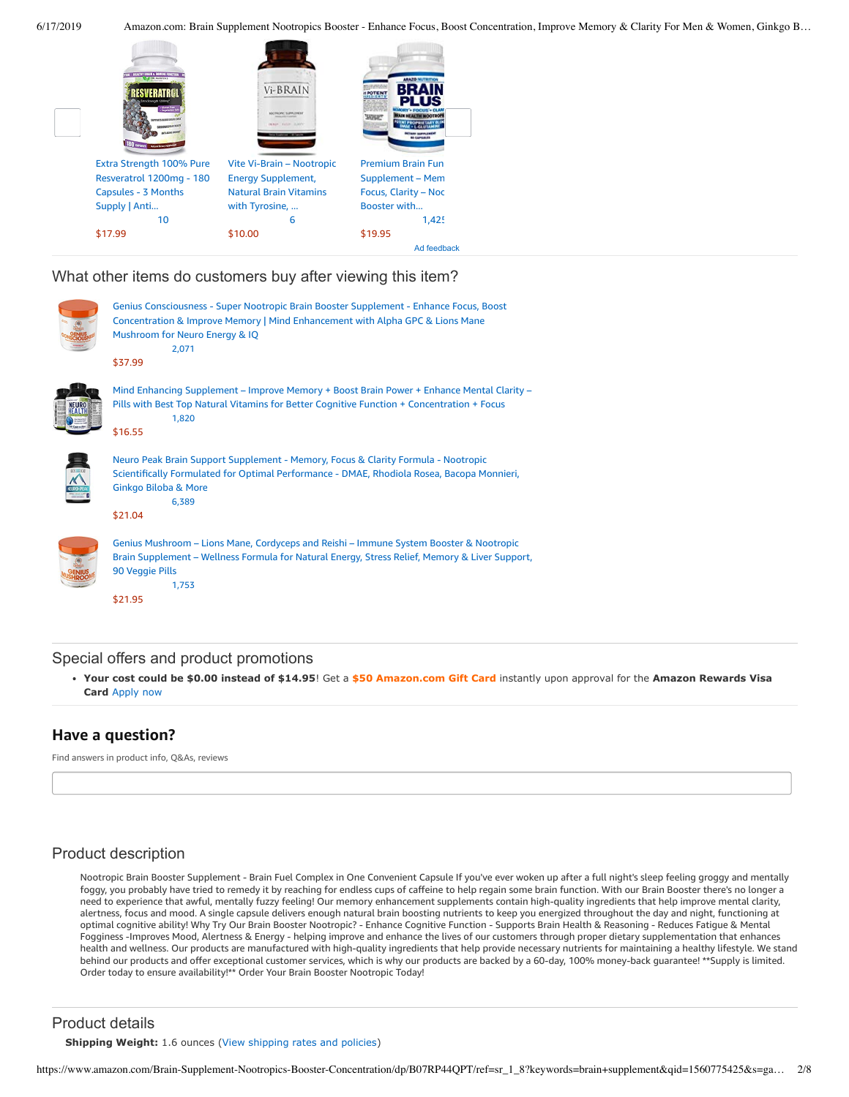

What other items do customers buy after viewing this item?

| Genius Consciousness - Super Nootropic Brain Booster Supplement - Enhance Focus, Boost<br>Concentration & Improve Memory   Mind Enhancement with Alpha GPC & Lions Mane<br>Mushroom for Neuro Energy & IQ<br>2,071<br>\$37.99          |
|----------------------------------------------------------------------------------------------------------------------------------------------------------------------------------------------------------------------------------------|
| Mind Enhancing Supplement – Improve Memory + Boost Brain Power + Enhance Mental Clarity –<br>Pills with Best Top Natural Vitamins for Better Cognitive Function + Concentration + Focus<br>1,820<br>\$16.55                            |
| Neuro Peak Brain Support Supplement - Memory, Focus & Clarity Formula - Nootropic<br>Scientifically Formulated for Optimal Performance - DMAE, Rhodiola Rosea, Bacopa Monnieri,<br><b>Ginkgo Biloba &amp; More</b><br>6,389<br>\$21.04 |
| Genius Mushroom – Lions Mane, Cordyceps and Reishi – Immune System Booster & Nootropic<br>Brain Supplement - Wellness Formula for Natural Energy, Stress Relief, Memory & Liver Support,<br>90 Veggie Pills<br>1,753                   |

[\\$21.95](https://www.amazon.com/Genius-Mushroom-Cordyceps-Nootropic-Supplement/dp/B078SJ9F5S/ref=pd_cp_121_4?pd_rd_w=Bunb2&pf_rd_p=ef4dc990-a9ca-4945-ae0b-f8d549198ed6&pf_rd_r=TNX7NBNA5X6B1106XRXS&pd_rd_r=499a16d8-9110-11e9-ab43-bb92971a421c&pd_rd_wg=Sj6RL&pd_rd_i=B078SJ9F5S&psc=1&refRID=TNX7NBNA5X6B1106XRXS)

## Special offers and product promotions

**[Your cost could be \\$0.00 instead of \\$14.95](https://www.amazon.com/gp/cobrandcard/marketing.html?pr=con321&inc=50gcUnrec&ts=cmj8jxnh6887yemqw2zvhxwusanixyd&dasin=B07RP44QPT&plattr=math&place=detailpage&imp=df622496-166f-4a5a-8ec1-a29c2d4deab6)**! Get a **\$50 Amazon.com Gift Card** instantly upon approval for the **Amazon Rewards Visa Card** Apply now

# **Have a question?**

Find answers in product info, Q&As, reviews

# Product description

Nootropic Brain Booster Supplement - Brain Fuel Complex in One Convenient Capsule If you've ever woken up after a full night's sleep feeling groggy and mentally foggy, you probably have tried to remedy it by reaching for endless cups of caffeine to help regain some brain function. With our Brain Booster there's no longer a need to experience that awful, mentally fuzzy feeling! Our memory enhancement supplements contain high-quality ingredients that help improve mental clarity, alertness, focus and mood. A single capsule delivers enough natural brain boosting nutrients to keep you energized throughout the day and night, functioning at optimal cognitive ability! Why Try Our Brain Booster Nootropic? - Enhance Cognitive Function - Supports Brain Health & Reasoning - Reduces Fatigue & Mental Fogginess -Improves Mood, Alertness & Energy - helping improve and enhance the lives of our customers through proper dietary supplementation that enhances health and wellness. Our products are manufactured with high-quality ingredients that help provide necessary nutrients for maintaining a healthy lifestyle. We stand behind our products and offer exceptional customer services, which is why our products are backed by a 60-day, 100% money-back guarantee! \*\*Supply is limited. Order today to ensure availability!\*\* Order Your Brain Booster Nootropic Today!

## Product details

**Shipping Weight:** 1.6 ounces [\(View shipping rates and policies\)](https://www.amazon.com/gp/help/seller/shipping.html/ref=dp_pd_shipping?ie=UTF8&asin=B07RP44QPT&seller=ATVPDKIKX0DER)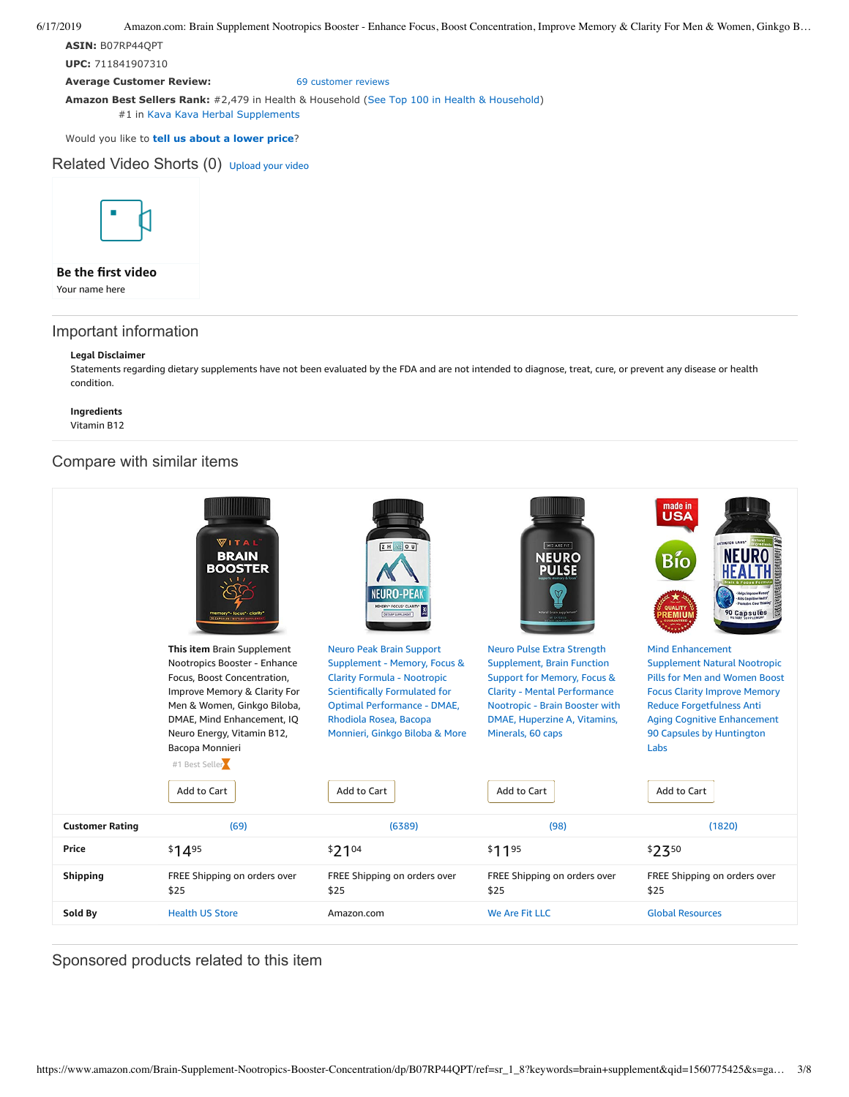**ASIN:** B07RP44QPT

**UPC:** 711841907310

**Average Customer Review:** [69 customer reviews](https://www.amazon.com/product-reviews/B07RP44QPT/ref=acr_dpproductdetail_text?ie=UTF8&showViewpoints=1)

**Amazon Best Sellers Rank:** #2,479 in Health & Household [\(See Top 100 in Health & Household](https://www.amazon.com/gp/bestsellers/hpc/ref=pd_zg_ts_hpc)) #1 in [Kava Kava Herbal Supplements](https://www.amazon.com/gp/bestsellers/hpc/3766101/ref=pd_zg_hrsr_hpc)

Would you like to **tell us about a lower price**?

Related Video Shorts (0) [Upload](https://www.amazon.com/creatorhub/video/upload?productASIN=B07RP44QPT&referringURL=ZHAvQjA3UlA0NFFQVA%3D%3D&ref=RVSW) your video



### **Be the first video**

Your name here

# Important information

#### **Legal Disclaimer**

Statements regarding dietary supplements have not been evaluated by the FDA and are not intended to diagnose, treat, cure, or prevent any disease or health condition.

## **Ingredients**

Vitamin B12

# Compare with similar items

|                        | <b>VITAL</b><br><b>BRAIN</b><br><b>BOOSTER</b><br>"nemory"- focus"- clarit                                                                                                                                                                                               | $ZHZ$ 0 U<br>(EURO-PEA<br>EMORY* FOCUS* CLARITY*<br>DETARY SUPPLEMENT                                                                                                                                                                                          | WE ARE FIT<br><b>NEURO</b><br><b>PULSE</b><br>atural brain suppler                                                                                                                                                                                            | made in<br><b>USA</b><br>Bío<br>Aids Cognitive Health'<br>Promotes Clear Thinki<br><b>QUALITY</b><br>90 Capsules<br><b>\EMIU</b>                                                                                                                                     |
|------------------------|--------------------------------------------------------------------------------------------------------------------------------------------------------------------------------------------------------------------------------------------------------------------------|----------------------------------------------------------------------------------------------------------------------------------------------------------------------------------------------------------------------------------------------------------------|---------------------------------------------------------------------------------------------------------------------------------------------------------------------------------------------------------------------------------------------------------------|----------------------------------------------------------------------------------------------------------------------------------------------------------------------------------------------------------------------------------------------------------------------|
|                        | This item Brain Supplement<br>Nootropics Booster - Enhance<br>Focus, Boost Concentration,<br>Improve Memory & Clarity For<br>Men & Women, Ginkgo Biloba,<br>DMAE, Mind Enhancement, IQ<br>Neuro Energy, Vitamin B12,<br>Bacopa Monnieri<br>#1 Best Seller<br>Add to Cart | <b>Neuro Peak Brain Support</b><br>Supplement - Memory, Focus &<br><b>Clarity Formula - Nootropic</b><br><b>Scientifically Formulated for</b><br><b>Optimal Performance - DMAE,</b><br>Rhodiola Rosea, Bacopa<br>Monnieri, Ginkgo Biloba & More<br>Add to Cart | <b>Neuro Pulse Extra Strength</b><br><b>Supplement, Brain Function</b><br><b>Support for Memory, Focus &amp;</b><br><b>Clarity - Mental Performance</b><br>Nootropic - Brain Booster with<br>DMAE, Huperzine A, Vitamins,<br>Minerals, 60 caps<br>Add to Cart | <b>Mind Enhancement</b><br><b>Supplement Natural Nootropic</b><br>Pills for Men and Women Boost<br><b>Focus Clarity Improve Memory</b><br><b>Reduce Forgetfulness Anti</b><br><b>Aging Cognitive Enhancement</b><br>90 Capsules by Huntington<br>Labs<br>Add to Cart |
| <b>Customer Rating</b> | (69)                                                                                                                                                                                                                                                                     | (6389)                                                                                                                                                                                                                                                         | (98)                                                                                                                                                                                                                                                          | (1820)                                                                                                                                                                                                                                                               |
| Price                  | $$14^{95}$                                                                                                                                                                                                                                                               | $$21^{04}$                                                                                                                                                                                                                                                     | \$1195                                                                                                                                                                                                                                                        | \$250                                                                                                                                                                                                                                                                |
| <b>Shipping</b>        | FREE Shipping on orders over<br>\$25                                                                                                                                                                                                                                     | FREE Shipping on orders over<br>\$25                                                                                                                                                                                                                           | FREE Shipping on orders over<br>\$25                                                                                                                                                                                                                          | FREE Shipping on orders over<br>\$25                                                                                                                                                                                                                                 |
| Sold By                | <b>Health US Store</b>                                                                                                                                                                                                                                                   | Amazon.com                                                                                                                                                                                                                                                     | <b>We Are Fit LLC</b>                                                                                                                                                                                                                                         | <b>Global Resources</b>                                                                                                                                                                                                                                              |

Sponsored products related to this item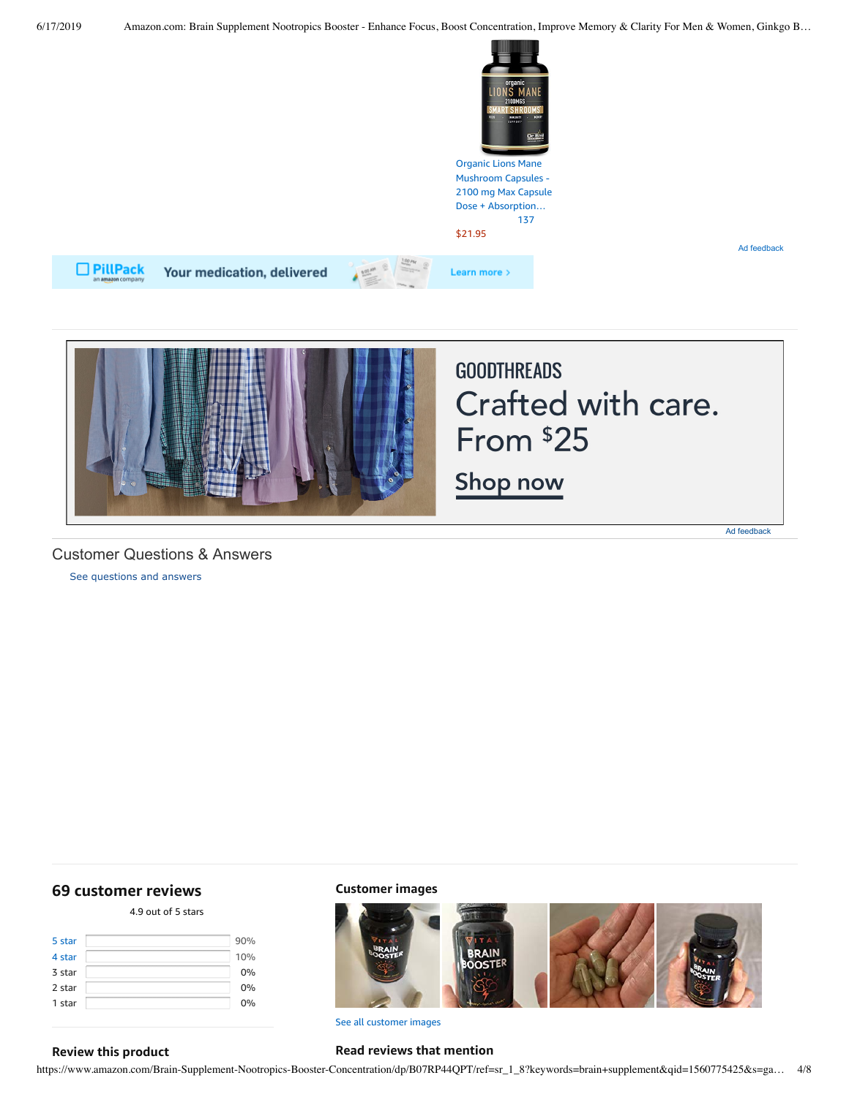

Ad feedback





## Customer Questions & Answers

[See questions and answers](https://www.amazon.com/ask/questions/asin/B07RP44QPT/ref=cm_cd_dp_lla_ql_ll)

# <span id="page-3-0"></span>**[69 customer](https://www.amazon.com/Brain-Supplement-Nootropics-Booster-Concentration/product-reviews/B07RP44QPT/ref=cm_cr_dp_d_show_all_top?ie=UTF8&reviewerType=all_reviews) reviews**

4.9 out of 5 [stars](javascript:void(0))

| 5 star | 90% |    |
|--------|-----|----|
| 4 star | 10% |    |
| 3 star |     | 0% |
| 2 star |     | 0% |
| 1 star |     | 0% |
|        |     |    |

### **Customer images**



See all customer images

#### **Review this product**

https://www.amazon.com/Brain-Supplement-Nootropics-Booster-Concentration/dp/B07RP44QPT/ref=sr\_1\_8?keywords=brain+supplement&qid=1560775425&s=ga… 4/8

**Read reviews that mention**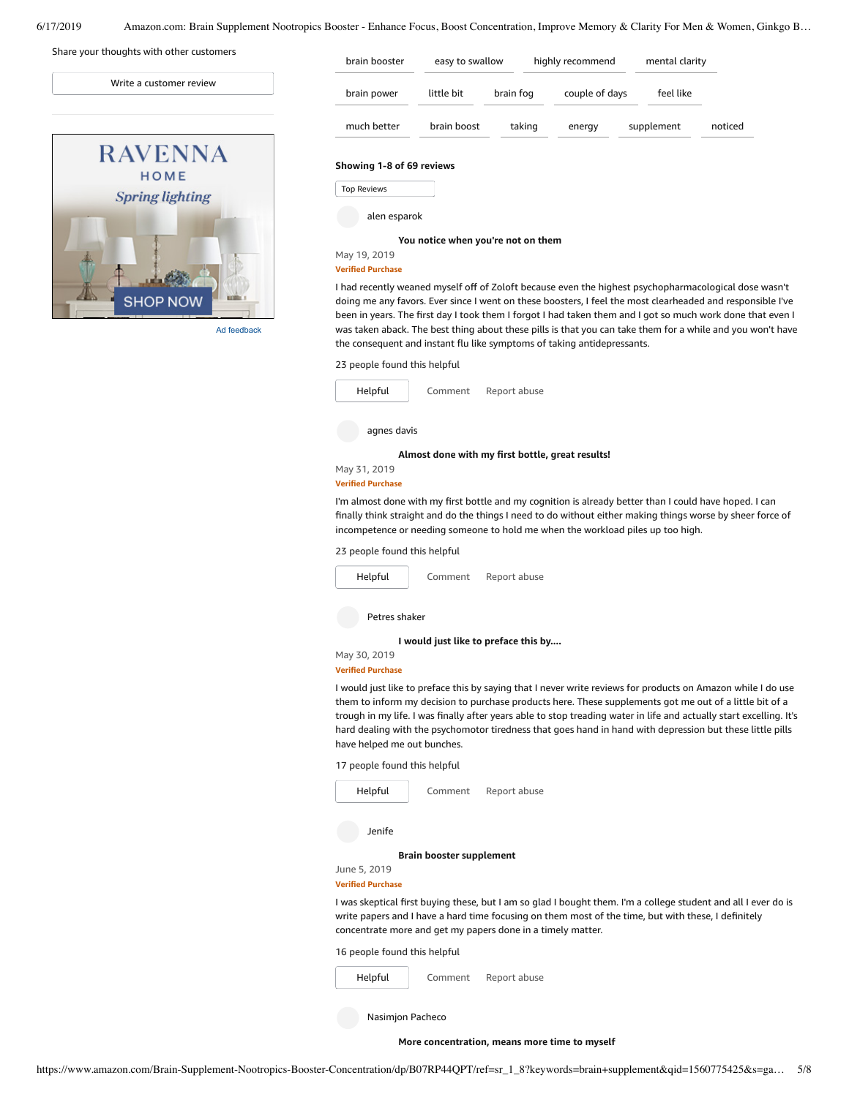| Write a customer review |
|-------------------------|
|                         |
| <b>RAVENNA</b>          |
| HOME                    |
| <b>Spring lighting</b>  |
| <b>SHOP NOW</b>         |

Share your thoughts with other customers

Ad feedback

| brain booster             | easy to swallow |           | highly recommend |  | mental clarity |         |
|---------------------------|-----------------|-----------|------------------|--|----------------|---------|
| brain power               | little bit      | brain fog | couple of days   |  | feel like      |         |
| much better               | brain boost     | taking    | energy           |  | supplement     | noticed |
| Showing 1-8 of 69 reviews |                 |           |                  |  |                |         |
| <b>Top Reviews</b>        |                 |           |                  |  |                |         |
| alen esparok              |                 |           |                  |  |                |         |

**You notice when [you're](https://www.amazon.com/gp/customer-reviews/R2TGSUJ9DYU91W/ref=cm_cr_dp_d_rvw_ttl?ie=UTF8&ASIN=B07RP44QPT) not on them**

#### May 19, 2019 **Verified Purchase**

I had recently weaned myself off of Zoloft because even the highest psychopharmacological dose wasn't doing me any favors. Ever since I went on these boosters, I feel the most clearheaded and responsible I've been in years. The first day I took them I forgot I had taken them and I got so much work done that even I was taken aback. The best thing about these pills is that you can take them for a while and you won't have the consequent and instant flu like symptoms of taking antidepressants.

#### 23 people found this helpful



#### **Verified Purchase**

I'm almost done with my first bottle and my cognition is already better than I could have hoped. I can finally think straight and do the things I need to do without either making things worse by sheer force of incompetence or needing someone to hold me when the workload piles up too high.

23 people found this helpful



### **Verified Purchase**

I would just like to preface this by saying that I never write reviews for products on Amazon while I do use them to inform my decision to purchase products here. These supplements got me out of a little bit of a trough in my life. I was finally after years able to stop treading water in life and actually start excelling. It's hard dealing with the psychomotor tiredness that goes hand in hand with depression but these little pills have helped me out bunches.

17 people found this helpful

| Helpful                      | Comment                         | Report abuse                                                                                                                                                                                                                                                                         |
|------------------------------|---------------------------------|--------------------------------------------------------------------------------------------------------------------------------------------------------------------------------------------------------------------------------------------------------------------------------------|
| Jenife                       |                                 |                                                                                                                                                                                                                                                                                      |
|                              | <b>Brain booster supplement</b> |                                                                                                                                                                                                                                                                                      |
| June 5, 2019                 |                                 |                                                                                                                                                                                                                                                                                      |
| <b>Verified Purchase</b>     |                                 |                                                                                                                                                                                                                                                                                      |
|                              |                                 | I was skeptical first buying these, but I am so glad I bought them. I'm a college student and all I ever do is<br>write papers and I have a hard time focusing on them most of the time, but with these, I definitely<br>concentrate more and get my papers done in a timely matter. |
| 16 people found this helpful |                                 |                                                                                                                                                                                                                                                                                      |
|                              |                                 |                                                                                                                                                                                                                                                                                      |

[Comment](https://www.amazon.com/gp/customer-reviews/R8TLUYEIKP13T/ref=cm_cr_dp_d_rvw_btm?ie=UTF8&ASIN=B07RP44QPT#wasThisHelpful) [Report](https://www.amazon.com/hz/reviews-render/report-abuse?ie=UTF8&voteDomain=Reviews&ref=cm_cr_dp_d_rvw_hlp&csrfT=gqpTc7%2B%2B%2FsAM138tsQrCco8UPulslsJj6qVA1dcAAAABAAAAAF0HqnNyYXcAAAAA%2B4kUEk%2F7iMGR3xPcX6iU&entityId=R8TLUYEIKP13T&sessionId=143-6729050-3493109) abuse [Helpful](https://www.amazon.com/ap/signin?openid.return_to=https%3A%2F%2Fwww.amazon.com%2Fdp%2FB07RP44QPT%2Fref%3Dcm_cr_dp_d_vote_lft%3Fie%3DUTF8%26voteInstanceId%3DR8TLUYEIKP13T%26voteValue%3D1%26csrfT%3DgqpTc7%252B%252B%252FsAM138tsQrCco8UPulslsJj6qVA1dcAAAABAAAAAF0HqnNyYXcAAAAA%252B4kUEk%252F7iMGR3xPcX6iU%23R8TLUYEIKP13T&openid.identity=http%3A%2F%2Fspecs.openid.net%2Fauth%2F2.0%2Fidentifier_select&openid.claimed_id=http%3A%2F%2Fspecs.openid.net%2Fauth%2F2.0%2Fidentifier_select&openid.assoc_handle=usflex&openid.mode=checkid_setup&openid.ns=http%3A%2F%2Fspecs.openid.net%2Fauth%2F2.0) Nasimjon Pacheco

**More [concentration,](https://www.amazon.com/gp/customer-reviews/R1B8RJEABWWAN2/ref=cm_cr_dp_d_rvw_ttl?ie=UTF8&ASIN=B07RP44QPT) means more time to myself**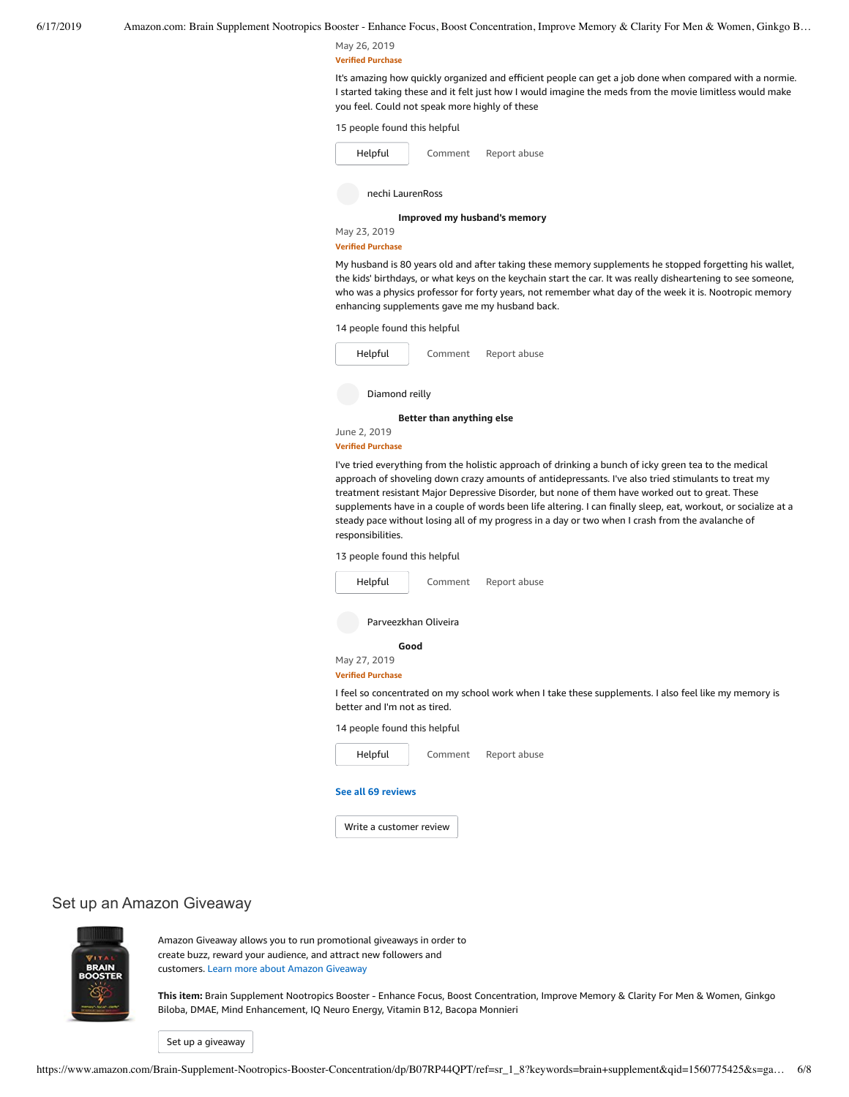#### May 26, 2019 **Verified Purchase**

It's amazing how quickly organized and efficient people can get a job done when compared with a normie. I started taking these and it felt just how Iwould imagine the meds from the movie limitless would make you feel. Could not speak more highly of these

15 people found this helpful

| Helpful          | Comment | Report abuse |
|------------------|---------|--------------|
| nechi LaurenRoss |         |              |

**Improved my [husband's](https://www.amazon.com/gp/customer-reviews/R2RLKIDPHYB2CZ/ref=cm_cr_dp_d_rvw_ttl?ie=UTF8&ASIN=B07RP44QPT) memory**

May 23, 2019 **Verified Purchase**

My husband is 80 years old and after taking these memory supplements he stopped forgetting his wallet, the kids' birthdays, or what keys on the keychain start the car. It was really disheartening to see someone, who was a physics professor for forty years, not remember what day of the week it is. Nootropic memory enhancing supplements gave me my husband back.

14 people found this helpful



**Verified Purchase**

I've tried everything from the holistic approach of drinking a bunch of icky green tea to the medical approach of shoveling down crazy amounts of antidepressants. I've also tried stimulants to treat my treatment resistant Major Depressive Disorder, but none of them have worked out to great. These supplements have in a couple of words been life altering. I can finally sleep, eat, workout, or socialize at a steady pace without losing all of my progress in a day or two when I crash from the avalanche of responsibilities.

13 people found this helpful



Write a [customer](https://www.amazon.com/review/create-review/ref=cm_cr_dp_d_wr_but_btm?ie=UTF8&channel=glance-detail&asin=B07RP44QPT) review

## Set up an Amazon Giveaway



Amazon Giveaway allows you to run promotional giveaways in order to create buzz, reward your audience, and attract new followers and customers. Learn more about Amazon [Giveaway](https://www.amazon.com/gp/giveaway/home?ref=aga_dp_lm)

**This item:** Brain Supplement Nootropics Booster - Enhance Focus, Boost Concentration, Improve Memory & Clarity For Men & Women, Ginkgo Biloba, DMAE, Mind Enhancement, IQ Neuro Energy, Vitamin B12, Bacopa Monnieri

Set up a [giveaway](https://www.amazon.com/giveaway/host/setup/ref=aga_h_su_dp?_encoding=UTF8&asin=B07RP44QPT)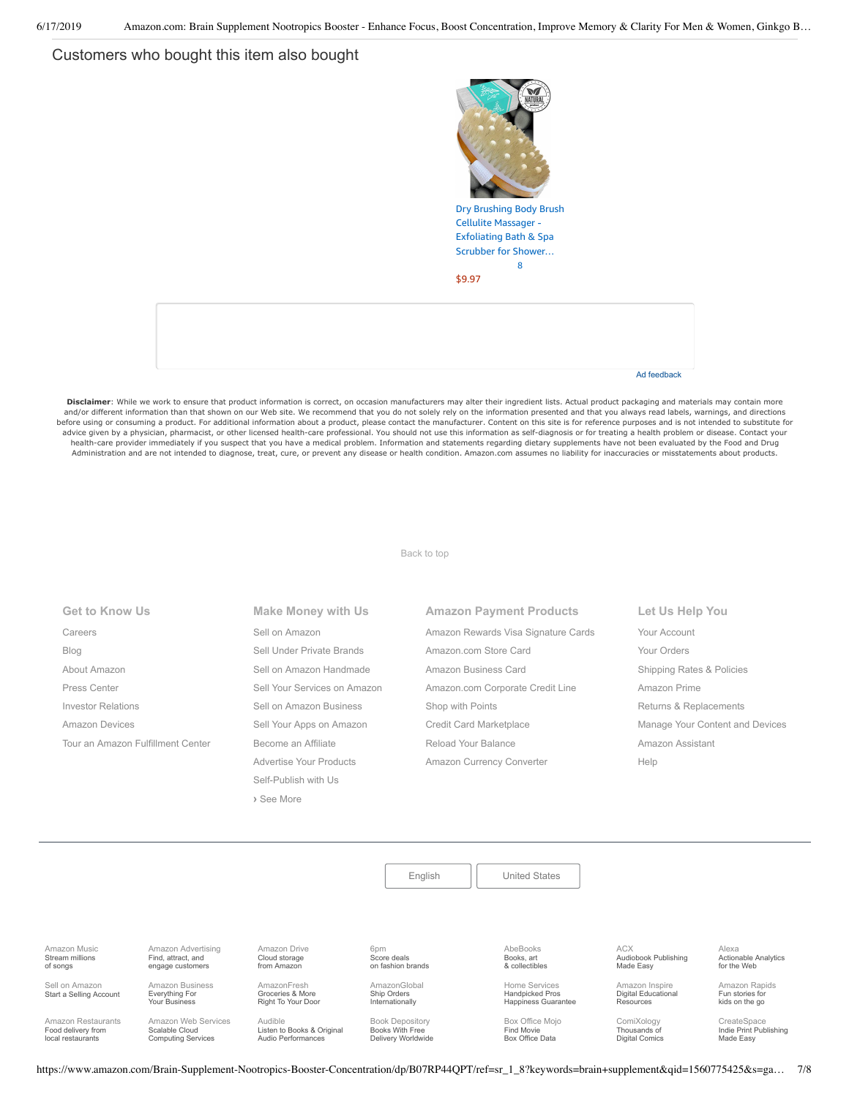# Customers who bought this item also bought



Disclaimer: While we work to ensure that product information is correct, on occasion manufacturers may alter their ingredient lists. Actual product packaging and materials may contain more and/or different information than that shown on our Web site. We recommend that you do not solely rely on the information presented and that you always read labels, warnings, and directions before using or consuming a product. For additional information about a product, please contact the manufacturer. Content on this site is for reference purposes and is not intended to substitute for advice given by a physician, pharmacist, or other licensed health-care professional. You should not use this information as self-diagnosis or for treating a health problem or disease. Contact your health-care provider immediately if you suspect that you have a medical problem. Information and statements regarding dietary supplements have not been evaluated by the Food and Drug Administration and are not intended to diagnose, treat, cure, or prevent any disease or health condition. Amazon.com assumes no liability for inaccuracies or misstatements about products.

[Back to top](#page-0-0)

| <b>Get to Know Us</b>             | Make Money with Us           | <b>Amazon Payment Products</b>      | Let Us Help You                 |
|-----------------------------------|------------------------------|-------------------------------------|---------------------------------|
| Careers                           | Sell on Amazon               | Amazon Rewards Visa Signature Cards | Your Account                    |
| Blog                              | Sell Under Private Brands    | Amazon.com Store Card               | Your Orders                     |
| About Amazon                      | Sell on Amazon Handmade      | Amazon Business Card                | Shipping Rates & Policies       |
| Press Center                      | Sell Your Services on Amazon | Amazon.com Corporate Credit Line    | Amazon Prime                    |
| <b>Investor Relations</b>         | Sell on Amazon Business      | Shop with Points                    | Returns & Replacements          |
| <b>Amazon Devices</b>             | Sell Your Apps on Amazon     | Credit Card Marketplace             | Manage Your Content and Devices |
| Tour an Amazon Fulfillment Center | Become an Affiliate          | Reload Your Balance                 | Amazon Assistant                |
|                                   | Advertise Your Products      | Amazon Currency Converter           | Help                            |
|                                   | Self-Publish with Us         |                                     |                                 |
|                                   | > See More                   |                                     |                                 |

[English](https://www.amazon.com/gp/customer-preferences/select-language/ref=footer_lang?ie=UTF8&preferencesReturnUrl=%2FBrain-Supplement-Nootropics-Booster-Concentration%2Fdp%2FB07RP44QPT%2Fref%3Dsr_1_8%3Fkeywords%3Dbrain%2Bsupplement%26qid%3D1560775425%26s%3Dgateway%26sr%3D8-8) | [United States](https://www.amazon.com/gp/navigation-country/select-country/ref=?ie=UTF8&preferencesReturnUrl=%2FBrain-Supplement-Nootropics-Booster-Concentration%2Fdp%2FB07RP44QPT%2Fref%3Dsr_1_8%3Fkeywords%3Dbrain%2Bsupplement%26qid%3D1560775425%26s%3Dgateway%26sr%3D8-8) [Amazon Music](https://music.amazon.com/?ref=dm_aff_amz_com) Stream millions of songs [Amazon Advertising](https://advertising.amazon.com/?ref=footer_advtsing_amzn_com) Find, attract, and engage customers [Amazon Drive](https://www.amazon.com/STRING-subnav_primephotos_amazondrive/b?ie=UTF8&node=15547130011&ref_=us_footer_drive) Cloud storage from Amazon 6pm Score deals [on fashion brands](https://www.6pm.com/) AbeBooks Books, art [& collectibles](https://www.abebooks.com/) ACX [Audiobook Publishing](https://www.acx.com/) Made Easy Alexa [Actionable Analytics](https://www.alexa.com/) for the Web Sell on Amazon [Start a Selling Account](https://www.amazon.com/gp/redirect.html?_encoding=UTF8&location=https%3A%2F%2Fservices.amazon.com%2Fcontent%2Fsell-on-amazon.htm%3Fld%3DAZUSSOA-footer-aff%26ref%3Dfooter_sell&source=standards&token=9C20DC45C16BB27C88A9F9FF2131288939F17ADB) [Amazon Business](https://www.amazon.com/business?_encoding=UTF8&ref_=footer_retail_b2b) Everything For Your Business AmazonFresh Groceries & More [Right To Your Door](https://www.amazon.com/AmazonFresh/b?ie=UTF8&node=10329849011&ref_=footer_aff_fresh) [AmazonGlobal](https://www.amazon.com/International-Shipping-Direct/b?ie=UTF8&node=230659011&ref_=footer_amazonglobal) Ship Orders Internationally Home Services Handpicked Pros [Happiness Guarantee](https://www.amazon.com/services?_encoding=UTF8&ref_=footer_services) [Amazon Inspire](https://www.amazoninspire.com/?ref=amazon_footer) Digital Educational Resources [Amazon Rapids](https://rapids.amazon.com/?ref=rapids_acq_gatewayfooter) Fun stories for kids on the go [Amazon Restaurants](https://primenow.amazon.com/restaurants?ref_=amzrst_nav_footer) Food delivery from local restaurants [Amazon Web Services](https://aws.amazon.com/what-is-cloud-computing/?sc_channel=EL&sc_campaign=amazonfooter) Scalable Cloud Computing Services [Audible](https://www.audible.com/) Listen to Books & Original Audio Performances [Book Depository](https://www.bookdepository.com/) Books With Free Delivery Worldwide [Box Office Mojo](https://www.boxofficemojo.com/?ref_=amzn_nav_ftr) Find Movie Box Office Data [ComiXology](https://www.comixology.com/) Thousands of Digital Comics **CreateSpace** [Indie Print Publishing](https://www.createspace.com/) Made Easy

https://www.amazon.com/Brain-Supplement-Nootropics-Booster-Concentration/dp/B07RP44QPT/ref=sr\_1\_8?keywords=brain+supplement&qid=1560775425&s=ga… 7/8